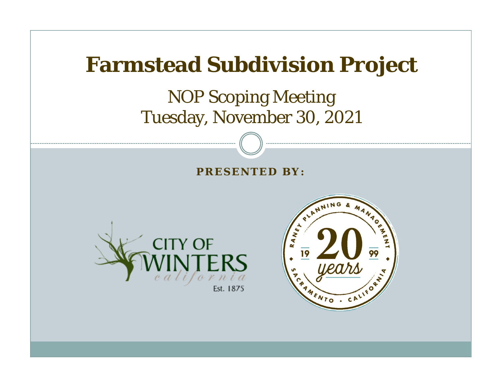

#### NOP Scoping Meeting Tuesday, November 30, 2021

#### **PRESENTED BY:**



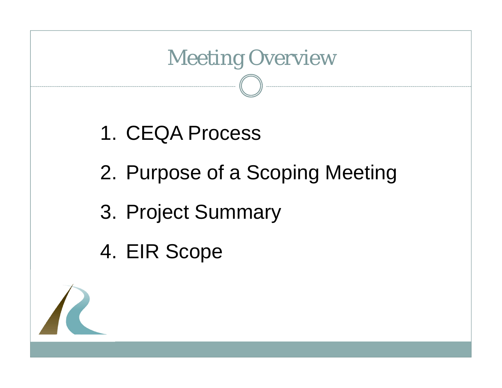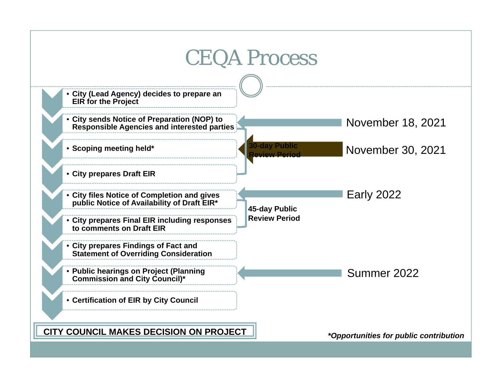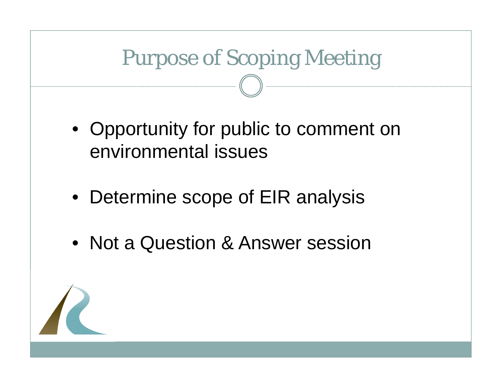# Purpose of Scoping Meeting

- Opportunity for public to comment on environmental issues
- Determine scope of EIR analysis
- Not a Question & Answer session

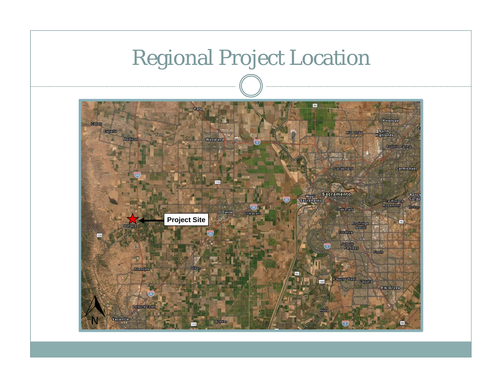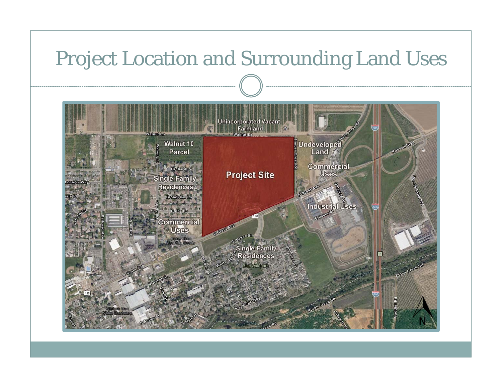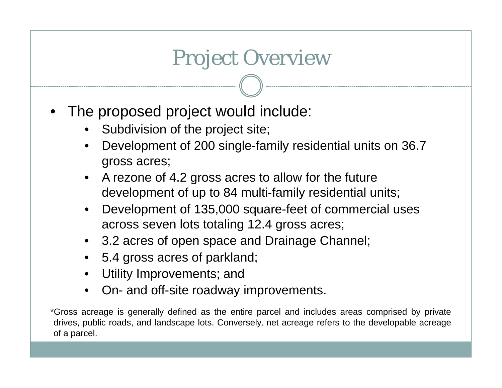# Project Overview

- The proposed project would include:
	- Subdivision of the project site;
	- Development of 200 single-family residential units on 36.7 gross acres;
	- A rezone of 4.2 gross acres to allow for the future development of up to 84 multi-family residential units;
	- Development of 135,000 square-feet of commercial uses across seven lots totaling 12.4 gross acres;
	- 3.2 acres of open space and Drainage Channel;
	- 5.4 gross acres of parkland;
	- Utility Improvements; and
	- On- and off-site roadway improvements.

\*Gross acreage is generally defined as the entire parcel and includes areas comprised by private drives, public roads, and landscape lots. Conversely, net acreage refers to the developable acreage of <sup>a</sup> parcel.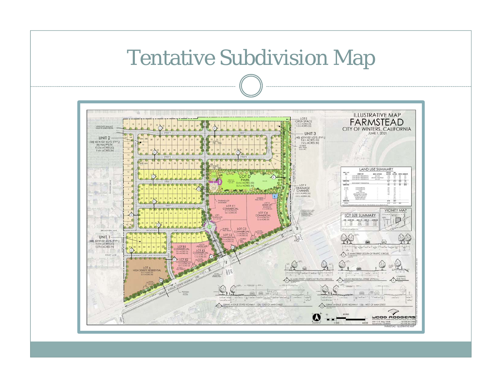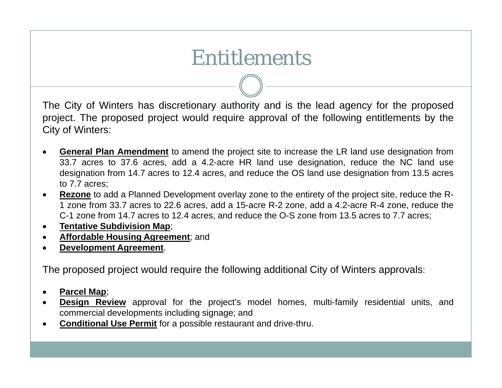# Entitlements

The City of Winters has discretionary authority and is the lead agency for the proposed project. The proposed project would require approval of the following entitlements by the City of Winters:

- $\bullet$  **General Plan Amendment** to amend the project site to increase the LR land use designation from 33.7 acres to 37.6 acres, add <sup>a</sup> 4.2-acre HR land use designation, reduce the NC land use designation from 14.7 acres to 12.4 acres, and reduce the OS land use designation from 13.5 acres to 7.7 acres;
- $\bullet$  **Rezone** to add <sup>a</sup> Planned Development overlay zone to the entirety of the project site, reduce the R-1 zone from 33.7 acres to 22.6 acres, add <sup>a</sup> 15-acre R-2 zone, add <sup>a</sup> 4.2-acre R-4 zone, reduce the C-1 zone from 14.7 acres to 12.4 acres, and reduce the O-S zone from 13.5 acres to 7.7 acres;
- $\bullet$ **Tentative Subdivision Map**;
- $\bullet$ **Affordable Housing Agreement**; and
- 0 **Development Agreement**.

The proposed project would require the following additional City of Winters approvals:

- $\bullet$ **Parcel Map**;
- $\bullet$ **Design Review** approval for the project's model homes, multi-family residential units, and commercial developments including signage; and
- $\bullet$ **Conditional Use Permit** for <sup>a</sup> possible restaurant and drive-thru.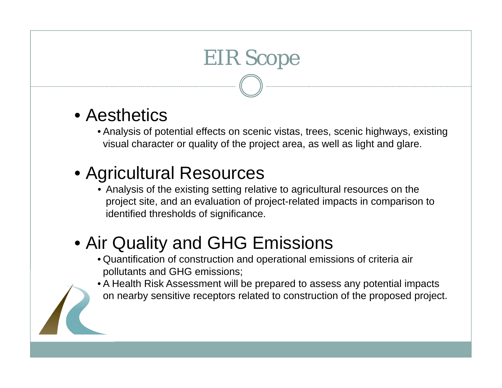# EIR Scope

- Aesthetics
	- Analysis of potential effects on scenic vistas, trees, scenic highways, existing visual character or quality of the project area, as well as light and glare.

### • Agricultural Resources

- Analysis of the existing setting relative to agricultural resources on the project site, and an evaluation of project-related impacts in comparison to identified thresholds of significance.
- Air Quality and GHG Emissions
	- Quantification of construction and operational emissions of criteria air pollutants and GHG emissions;
	- A Health Risk Assessment will be prepared to assess any potential impacts on nearby sensitive receptors related to construction of the proposed project.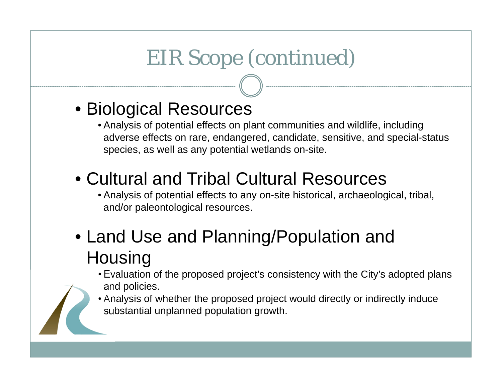# EIR Scope (continued)

#### • Biological Resources

- Analysis of potential effects on plant communities and wildlife, including adverse effects on rare, endangered, candidate, sensitive, and special-status species, as well as any potential wetlands on-site.
- Cultural and Tribal Cultural Resources
	- Analysis of potential effects to any on-site historical, archaeological, tribal, and/or paleontological resources.

### • Land Use and Planning/Population and **Housing**

- Evaluation of the proposed project's consistency with the City's adopted plans and policies.
- Analysis of whether the proposed project would directly or indirectly induce substantial unplanned population growth.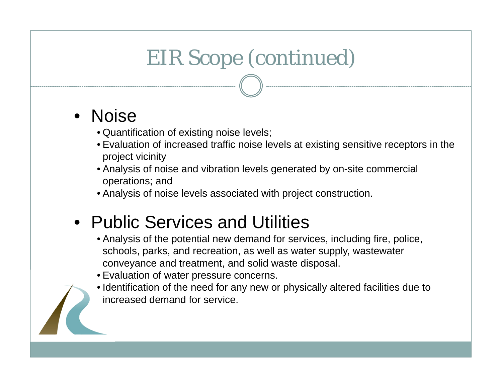# EIR Scope (continued)

#### •Noise

- Quantification of existing noise levels;
- Evaluation of increased traffic noise levels at existing sensitive receptors in the project vicinity
- Analysis of noise and vibration levels generated by on-site commercial operations; and
- Analysis of noise levels associated with project construction.

#### • Public Services and Utilities

- Analysis of the potential new demand for services, including fire, police, schools, parks, and recreation, as well as water supply, wastewater conveyance and treatment, and solid waste disposal.
- Evaluation of water pressure concerns.
- Identification of the need for any new or physically altered facilities due to increased demand for service.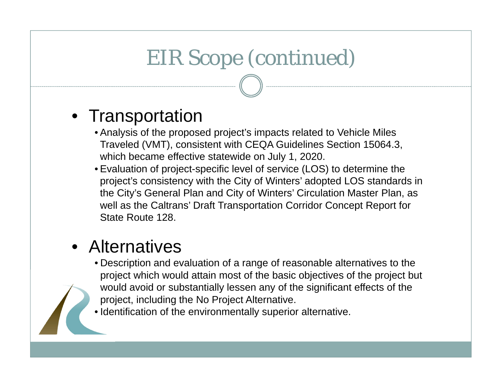# EIR Scope (continued)

#### • Transportation

- Analysis of the proposed project's impacts related to Vehicle Miles Traveled (VMT), consistent with CEQA Guidelines Section 15064.3, which became effective statewide on July 1, 2020.
- Evaluation of project-specific level of service (LOS) to determine the project's consistency with the City of Winters' adopted LOS standards in the City's General Plan and City of Winters' Circulation Master Plan, as well as the Caltrans' Draft Transportation Corridor Concept Report for State Route 128.

#### • Alternatives

- Description and evaluation of a range of reasonable alternatives to the project which would attain most of the basic objectives of the project but would avoid or substantially lessen any of the significant effects of the project, including the No Project Alternative.
- Identification of the environmentally superior alternative.